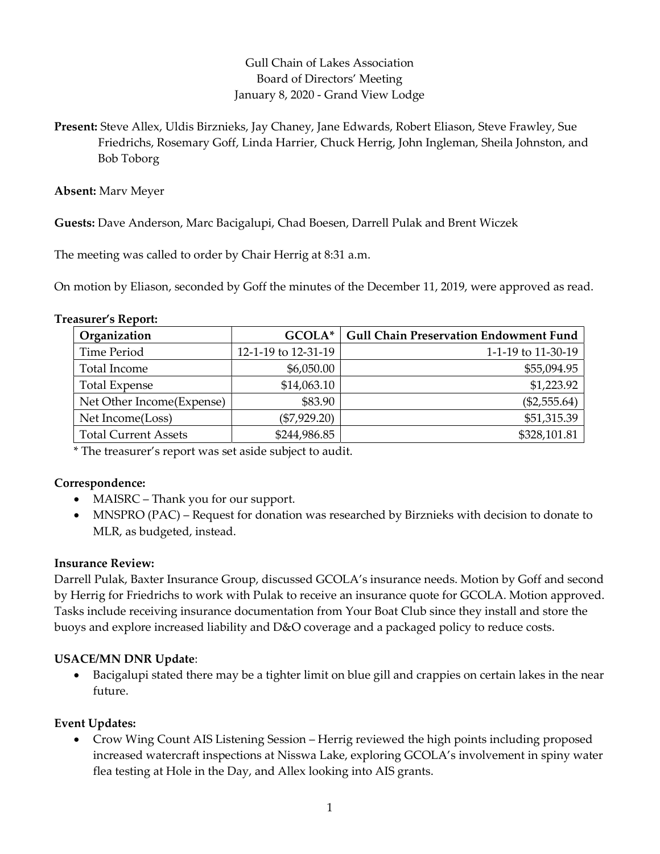# Gull Chain of Lakes Association Board of Directors' Meeting January 8, 2020 - Grand View Lodge

Present: Steve Allex, Uldis Birznieks, Jay Chaney, Jane Edwards, Robert Eliason, Steve Frawley, Sue Friedrichs, Rosemary Goff, Linda Harrier, Chuck Herrig, John Ingleman, Sheila Johnston, and Bob Toborg

Absent: Marv Meyer

Guests: Dave Anderson, Marc Bacigalupi, Chad Boesen, Darrell Pulak and Brent Wiczek

The meeting was called to order by Chair Herrig at 8:31 a.m.

On motion by Eliason, seconded by Goff the minutes of the December 11, 2019, were approved as read.

| Organization                | GCOLA*              | <b>Gull Chain Preservation Endowment Fund</b> |
|-----------------------------|---------------------|-----------------------------------------------|
| <b>Time Period</b>          | 12-1-19 to 12-31-19 | 1-1-19 to 11-30-19                            |
| Total Income                | \$6,050.00          | \$55,094.95                                   |
| <b>Total Expense</b>        | \$14,063.10         | \$1,223.92                                    |
| Net Other Income(Expense)   | \$83.90             | $(\$2,555.64)$                                |
| Net Income(Loss)            | $(\$7,929.20)$      | \$51,315.39                                   |
| <b>Total Current Assets</b> | \$244,986.85        | \$328,101.81                                  |

\* The treasurer's report was set aside subject to audit.

# Correspondence:

- MAISRC Thank you for our support.
- MNSPRO (PAC) Request for donation was researched by Birznieks with decision to donate to MLR, as budgeted, instead.

# Insurance Review:

Darrell Pulak, Baxter Insurance Group, discussed GCOLA's insurance needs. Motion by Goff and second by Herrig for Friedrichs to work with Pulak to receive an insurance quote for GCOLA. Motion approved. Tasks include receiving insurance documentation from Your Boat Club since they install and store the buoys and explore increased liability and D&O coverage and a packaged policy to reduce costs.

# USACE/MN DNR Update:

 Bacigalupi stated there may be a tighter limit on blue gill and crappies on certain lakes in the near future.

# Event Updates:

 Crow Wing Count AIS Listening Session – Herrig reviewed the high points including proposed increased watercraft inspections at Nisswa Lake, exploring GCOLA's involvement in spiny water flea testing at Hole in the Day, and Allex looking into AIS grants.